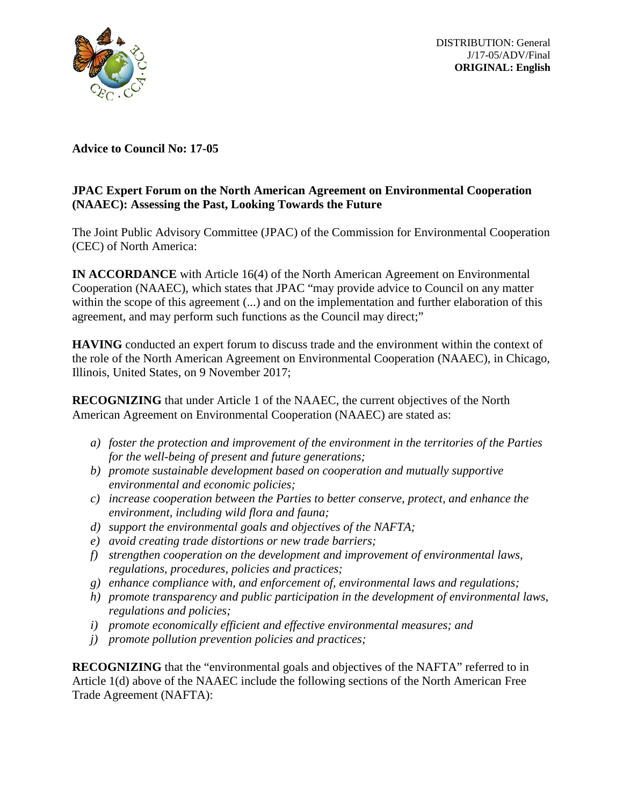

DISTRIBUTION: General J/17-05/ADV/Final **ORIGINAL: English**

**Advice to Council No: 17-05**

# **JPAC Expert Forum on the North American Agreement on Environmental Cooperation (NAAEC): Assessing the Past, Looking Towards the Future**

The Joint Public Advisory Committee (JPAC) of the Commission for Environmental Cooperation (CEC) of North America:

**IN ACCORDANCE** with Article 16(4) of the North American Agreement on Environmental Cooperation (NAAEC), which states that JPAC "may provide advice to Council on any matter within the scope of this agreement (...) and on the implementation and further elaboration of this agreement, and may perform such functions as the Council may direct;"

**HAVING** conducted an expert forum to discuss trade and the environment within the context of the role of the North American Agreement on Environmental Cooperation (NAAEC), in Chicago, Illinois, United States, on 9 November 2017;

**RECOGNIZING** that under Article 1 of the NAAEC, the current objectives of the North American Agreement on Environmental Cooperation (NAAEC) are stated as:

- *a) foster the protection and improvement of the environment in the territories of the Parties for the well-being of present and future generations;*
- *b) promote sustainable development based on cooperation and mutually supportive environmental and economic policies;*
- *c) increase cooperation between the Parties to better conserve, protect, and enhance the environment, including wild flora and fauna;*
- *d) support the environmental goals and objectives of the NAFTA;*
- *e) avoid creating trade distortions or new trade barriers;*
- *f) strengthen cooperation on the development and improvement of environmental laws, regulations, procedures, policies and practices;*
- *g) enhance compliance with, and enforcement of, environmental laws and regulations;*
- *h) promote transparency and public participation in the development of environmental laws, regulations and policies;*
- *i) promote economically efficient and effective environmental measures; and*
- *j) promote pollution prevention policies and practices;*

**RECOGNIZING** that the "environmental goals and objectives of the NAFTA" referred to in Article 1(d) above of the NAAEC include the following sections of the North American Free Trade Agreement (NAFTA):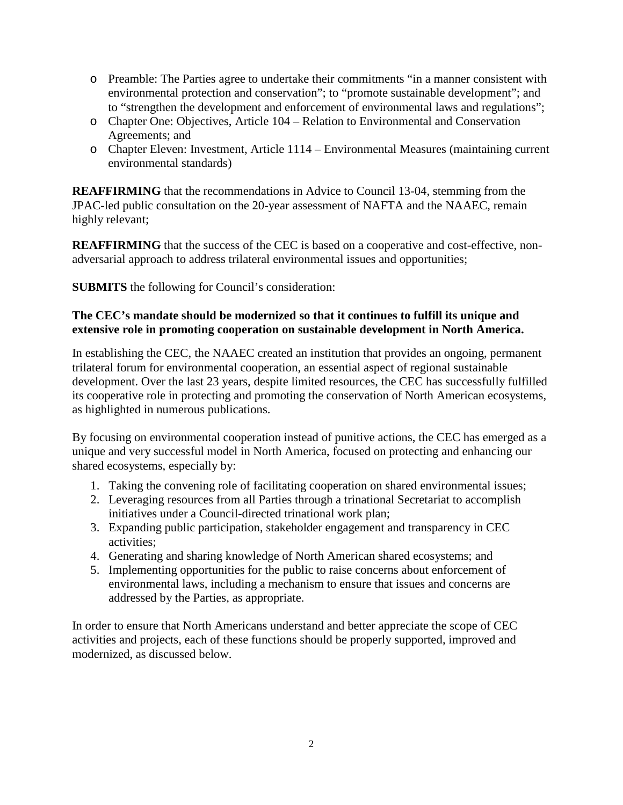- o Preamble: The Parties agree to undertake their commitments "in a manner consistent with environmental protection and conservation"; to "promote sustainable development"; and to "strengthen the development and enforcement of environmental laws and regulations";
- o Chapter One: Objectives, Article 104 Relation to Environmental and Conservation Agreements; and
- o Chapter Eleven: Investment, Article 1114 Environmental Measures (maintaining current environmental standards)

**REAFFIRMING** that the recommendations in Advice to Council 13-04, stemming from the JPAC-led public consultation on the 20-year assessment of NAFTA and the NAAEC, remain highly relevant;

**REAFFIRMING** that the success of the CEC is based on a cooperative and cost-effective, nonadversarial approach to address trilateral environmental issues and opportunities;

**SUBMITS** the following for Council's consideration:

# **The CEC's mandate should be modernized so that it continues to fulfill its unique and extensive role in promoting cooperation on sustainable development in North America.**

In establishing the CEC, the NAAEC created an institution that provides an ongoing, permanent trilateral forum for environmental cooperation, an essential aspect of regional sustainable development. Over the last 23 years, despite limited resources, the CEC has successfully fulfilled its cooperative role in protecting and promoting the conservation of North American ecosystems, as highlighted in numerous publications.

By focusing on environmental cooperation instead of punitive actions, the CEC has emerged as a unique and very successful model in North America, focused on protecting and enhancing our shared ecosystems, especially by:

- 1. Taking the convening role of facilitating cooperation on shared environmental issues;
- 2. Leveraging resources from all Parties through a trinational Secretariat to accomplish initiatives under a Council-directed trinational work plan;
- 3. Expanding public participation, stakeholder engagement and transparency in CEC activities;
- 4. Generating and sharing knowledge of North American shared ecosystems; and
- 5. Implementing opportunities for the public to raise concerns about enforcement of environmental laws, including a mechanism to ensure that issues and concerns are addressed by the Parties, as appropriate.

In order to ensure that North Americans understand and better appreciate the scope of CEC activities and projects, each of these functions should be properly supported, improved and modernized, as discussed below.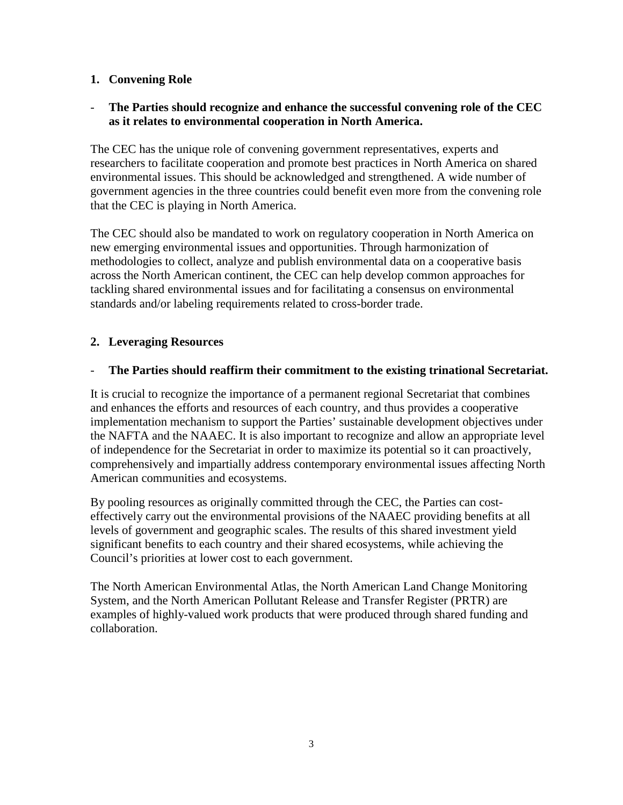## **1. Convening Role**

## - **The Parties should recognize and enhance the successful convening role of the CEC as it relates to environmental cooperation in North America.**

The CEC has the unique role of convening government representatives, experts and researchers to facilitate cooperation and promote best practices in North America on shared environmental issues. This should be acknowledged and strengthened. A wide number of government agencies in the three countries could benefit even more from the convening role that the CEC is playing in North America.

The CEC should also be mandated to work on regulatory cooperation in North America on new emerging environmental issues and opportunities. Through harmonization of methodologies to collect, analyze and publish environmental data on a cooperative basis across the North American continent, the CEC can help develop common approaches for tackling shared environmental issues and for facilitating a consensus on environmental standards and/or labeling requirements related to cross-border trade.

## **2. Leveraging Resources**

## - **The Parties should reaffirm their commitment to the existing trinational Secretariat.**

It is crucial to recognize the importance of a permanent regional Secretariat that combines and enhances the efforts and resources of each country, and thus provides a cooperative implementation mechanism to support the Parties' sustainable development objectives under the NAFTA and the NAAEC. It is also important to recognize and allow an appropriate level of independence for the Secretariat in order to maximize its potential so it can proactively, comprehensively and impartially address contemporary environmental issues affecting North American communities and ecosystems.

By pooling resources as originally committed through the CEC, the Parties can costeffectively carry out the environmental provisions of the NAAEC providing benefits at all levels of government and geographic scales. The results of this shared investment yield significant benefits to each country and their shared ecosystems, while achieving the Council's priorities at lower cost to each government.

The North American Environmental Atlas, the North American Land Change Monitoring System, and the North American Pollutant Release and Transfer Register (PRTR) are examples of highly-valued work products that were produced through shared funding and collaboration.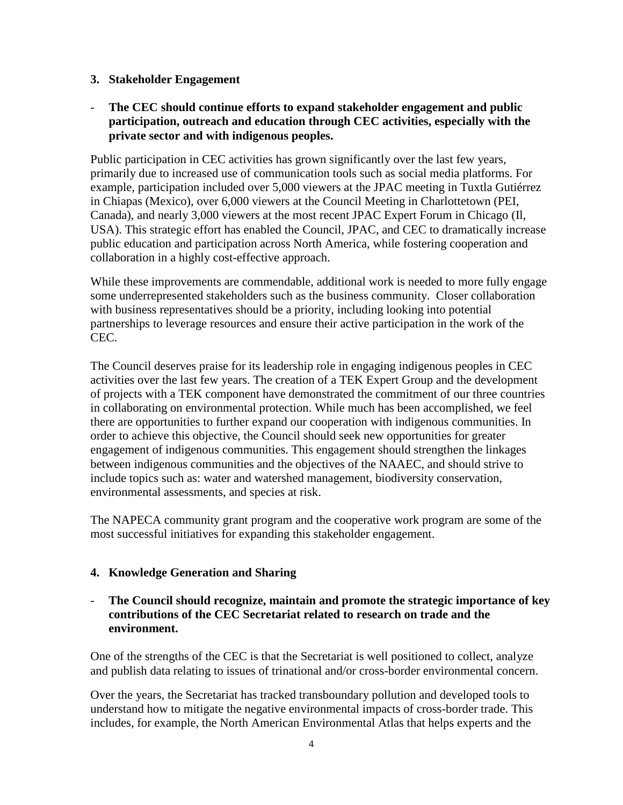#### **3. Stakeholder Engagement**

## - **The CEC should continue efforts to expand stakeholder engagement and public participation, outreach and education through CEC activities, especially with the private sector and with indigenous peoples.**

Public participation in CEC activities has grown significantly over the last few years, primarily due to increased use of communication tools such as social media platforms. For example, participation included over 5,000 viewers at the JPAC meeting in Tuxtla Gutiérrez in Chiapas (Mexico), over 6,000 viewers at the Council Meeting in Charlottetown (PEI, Canada), and nearly 3,000 viewers at the most recent JPAC Expert Forum in Chicago (Il, USA). This strategic effort has enabled the Council, JPAC, and CEC to dramatically increase public education and participation across North America, while fostering cooperation and collaboration in a highly cost-effective approach.

While these improvements are commendable, additional work is needed to more fully engage some underrepresented stakeholders such as the business community. Closer collaboration with business representatives should be a priority, including looking into potential partnerships to leverage resources and ensure their active participation in the work of the CEC.

The Council deserves praise for its leadership role in engaging indigenous peoples in CEC activities over the last few years. The creation of a TEK Expert Group and the development of projects with a TEK component have demonstrated the commitment of our three countries in collaborating on environmental protection. While much has been accomplished, we feel there are opportunities to further expand our cooperation with indigenous communities. In order to achieve this objective, the Council should seek new opportunities for greater engagement of indigenous communities. This engagement should strengthen the linkages between indigenous communities and the objectives of the NAAEC, and should strive to include topics such as: water and watershed management, biodiversity conservation, environmental assessments, and species at risk.

The NAPECA community grant program and the cooperative work program are some of the most successful initiatives for expanding this stakeholder engagement.

# **4. Knowledge Generation and Sharing**

## - **The Council should recognize, maintain and promote the strategic importance of key contributions of the CEC Secretariat related to research on trade and the environment.**

One of the strengths of the CEC is that the Secretariat is well positioned to collect, analyze and publish data relating to issues of trinational and/or cross-border environmental concern.

Over the years, the Secretariat has tracked transboundary pollution and developed tools to understand how to mitigate the negative environmental impacts of cross-border trade. This includes, for example, the North American Environmental Atlas that helps experts and the